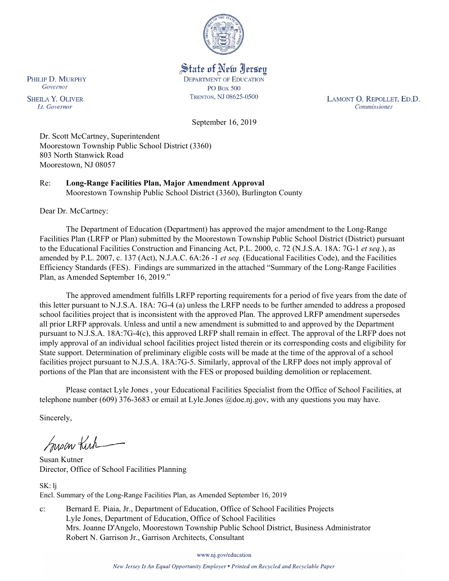

State of New Jersey **DEPARTMENT OF EDUCATION PO Box 500** TRENTON, NJ 08625-0500

LAMONT O. REPOLLET, ED.D. Commissioner

September 16, 2019

Dr. Scott McCartney, Superintendent Moorestown Township Public School District (3360) 803 North Stanwick Road Moorestown, NJ 08057

Re: **Long-Range Facilities Plan, Major Amendment Approval** Moorestown Township Public School District (3360), Burlington County

Dear Dr. McCartney:

The Department of Education (Department) has approved the major amendment to the Long-Range Facilities Plan (LRFP or Plan) submitted by the Moorestown Township Public School District (District) pursuant to the Educational Facilities Construction and Financing Act, P.L. 2000, c. 72 (N.J.S.A. 18A: 7G-1 *et seq.*), as amended by P.L. 2007, c. 137 (Act), N.J.A.C. 6A:26 -1 *et seq.* (Educational Facilities Code), and the Facilities Efficiency Standards (FES). Findings are summarized in the attached "Summary of the Long-Range Facilities Plan, as Amended September 16, 2019."

The approved amendment fulfills LRFP reporting requirements for a period of five years from the date of this letter pursuant to N.J.S.A. 18A: 7G-4 (a) unless the LRFP needs to be further amended to address a proposed school facilities project that is inconsistent with the approved Plan. The approved LRFP amendment supersedes all prior LRFP approvals. Unless and until a new amendment is submitted to and approved by the Department pursuant to N.J.S.A. 18A:7G-4(c), this approved LRFP shall remain in effect. The approval of the LRFP does not imply approval of an individual school facilities project listed therein or its corresponding costs and eligibility for State support. Determination of preliminary eligible costs will be made at the time of the approval of a school facilities project pursuant to N.J.S.A. 18A:7G-5. Similarly, approval of the LRFP does not imply approval of portions of the Plan that are inconsistent with the FES or proposed building demolition or replacement.

Please contact Lyle Jones , your Educational Facilities Specialist from the Office of School Facilities, at telephone number (609) 376-3683 or email at Lyle.Jones @doe.nj.gov, with any questions you may have.

Sincerely,

Susan Kich

Susan Kutner Director, Office of School Facilities Planning

SK: lj Encl. Summary of the Long-Range Facilities Plan, as Amended September 16, 2019

c: Bernard E. Piaia, Jr., Department of Education, Office of School Facilities Projects Lyle Jones, Department of Education, Office of School Facilities Mrs. Joanne D'Angelo, Moorestown Township Public School District, Business Administrator Robert N. Garrison Jr., Garrison Architects, Consultant

www.nj.gov/education

New Jersey Is An Equal Opportunity Employer . Printed on Recycled and Recyclable Paper

PHILIP D. MURPHY Governor

**SHEILA Y. OLIVER** Lt. Governor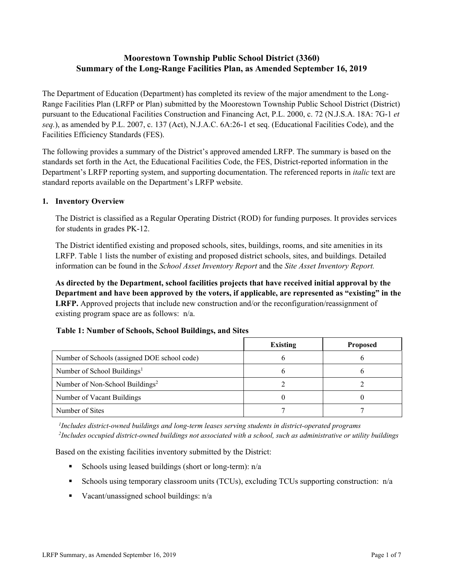# **Moorestown Township Public School District (3360) Summary of the Long-Range Facilities Plan, as Amended September 16, 2019**

The Department of Education (Department) has completed its review of the major amendment to the Long-Range Facilities Plan (LRFP or Plan) submitted by the Moorestown Township Public School District (District) pursuant to the Educational Facilities Construction and Financing Act, P.L. 2000, c. 72 (N.J.S.A. 18A: 7G-1 *et seq.*), as amended by P.L. 2007, c. 137 (Act), N.J.A.C. 6A:26-1 et seq. (Educational Facilities Code), and the Facilities Efficiency Standards (FES).

The following provides a summary of the District's approved amended LRFP. The summary is based on the standards set forth in the Act, the Educational Facilities Code, the FES, District-reported information in the Department's LRFP reporting system, and supporting documentation. The referenced reports in *italic* text are standard reports available on the Department's LRFP website.

### **1. Inventory Overview**

The District is classified as a Regular Operating District (ROD) for funding purposes. It provides services for students in grades PK-12.

The District identified existing and proposed schools, sites, buildings, rooms, and site amenities in its LRFP. Table 1 lists the number of existing and proposed district schools, sites, and buildings. Detailed information can be found in the *School Asset Inventory Report* and the *Site Asset Inventory Report.*

**As directed by the Department, school facilities projects that have received initial approval by the Department and have been approved by the voters, if applicable, are represented as "existing" in the LRFP.** Approved projects that include new construction and/or the reconfiguration/reassignment of existing program space are as follows: n/a.

### **Table 1: Number of Schools, School Buildings, and Sites**

|                                              | <b>Existing</b> | <b>Proposed</b> |
|----------------------------------------------|-----------------|-----------------|
| Number of Schools (assigned DOE school code) |                 |                 |
| Number of School Buildings <sup>1</sup>      |                 |                 |
| Number of Non-School Buildings <sup>2</sup>  |                 |                 |
| Number of Vacant Buildings                   |                 |                 |
| Number of Sites                              |                 |                 |

*1 Includes district-owned buildings and long-term leases serving students in district-operated programs 2 Includes occupied district-owned buildings not associated with a school, such as administrative or utility buildings*

Based on the existing facilities inventory submitted by the District:

- Schools using leased buildings (short or long-term):  $n/a$
- Schools using temporary classroom units (TCUs), excluding TCUs supporting construction:  $n/a$
- Vacant/unassigned school buildings:  $n/a$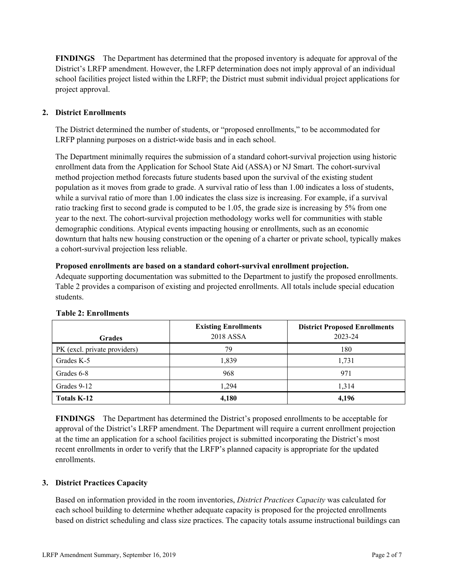**FINDINGS** The Department has determined that the proposed inventory is adequate for approval of the District's LRFP amendment. However, the LRFP determination does not imply approval of an individual school facilities project listed within the LRFP; the District must submit individual project applications for project approval.

## **2. District Enrollments**

The District determined the number of students, or "proposed enrollments," to be accommodated for LRFP planning purposes on a district-wide basis and in each school.

The Department minimally requires the submission of a standard cohort-survival projection using historic enrollment data from the Application for School State Aid (ASSA) or NJ Smart. The cohort-survival method projection method forecasts future students based upon the survival of the existing student population as it moves from grade to grade. A survival ratio of less than 1.00 indicates a loss of students, while a survival ratio of more than 1.00 indicates the class size is increasing. For example, if a survival ratio tracking first to second grade is computed to be 1.05, the grade size is increasing by 5% from one year to the next. The cohort-survival projection methodology works well for communities with stable demographic conditions. Atypical events impacting housing or enrollments, such as an economic downturn that halts new housing construction or the opening of a charter or private school, typically makes a cohort-survival projection less reliable.

### **Proposed enrollments are based on a standard cohort-survival enrollment projection.**

Adequate supporting documentation was submitted to the Department to justify the proposed enrollments. Table 2 provides a comparison of existing and projected enrollments. All totals include special education students.

|                              | <b>Existing Enrollments</b><br>2018 ASSA | <b>District Proposed Enrollments</b><br>2023-24 |
|------------------------------|------------------------------------------|-------------------------------------------------|
| <b>Grades</b>                |                                          |                                                 |
| PK (excl. private providers) | 79                                       | 180                                             |
| Grades K-5                   | 1,839                                    | 1,731                                           |
| Grades 6-8                   | 968                                      | 971                                             |
| Grades 9-12                  | 1.294                                    | 1,314                                           |
| <b>Totals K-12</b>           | 4,180                                    | 4,196                                           |

#### **Table 2: Enrollments**

**FINDINGS** The Department has determined the District's proposed enrollments to be acceptable for approval of the District's LRFP amendment. The Department will require a current enrollment projection at the time an application for a school facilities project is submitted incorporating the District's most recent enrollments in order to verify that the LRFP's planned capacity is appropriate for the updated enrollments.

### **3. District Practices Capacity**

Based on information provided in the room inventories, *District Practices Capacity* was calculated for each school building to determine whether adequate capacity is proposed for the projected enrollments based on district scheduling and class size practices. The capacity totals assume instructional buildings can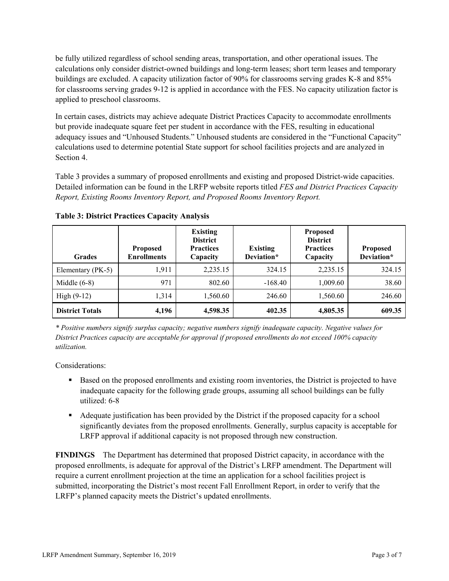be fully utilized regardless of school sending areas, transportation, and other operational issues. The calculations only consider district-owned buildings and long-term leases; short term leases and temporary buildings are excluded. A capacity utilization factor of 90% for classrooms serving grades K-8 and 85% for classrooms serving grades 9-12 is applied in accordance with the FES. No capacity utilization factor is applied to preschool classrooms.

In certain cases, districts may achieve adequate District Practices Capacity to accommodate enrollments but provide inadequate square feet per student in accordance with the FES, resulting in educational adequacy issues and "Unhoused Students." Unhoused students are considered in the "Functional Capacity" calculations used to determine potential State support for school facilities projects and are analyzed in Section 4.

Table 3 provides a summary of proposed enrollments and existing and proposed District-wide capacities. Detailed information can be found in the LRFP website reports titled *FES and District Practices Capacity Report, Existing Rooms Inventory Report, and Proposed Rooms Inventory Report.*

| <b>Grades</b>          | <b>Proposed</b><br><b>Enrollments</b> | <b>Existing</b><br><b>District</b><br><b>Practices</b><br>Capacity | <b>Existing</b><br>Deviation* | <b>Proposed</b><br><b>District</b><br><b>Practices</b><br>Capacity | <b>Proposed</b><br>Deviation* |
|------------------------|---------------------------------------|--------------------------------------------------------------------|-------------------------------|--------------------------------------------------------------------|-------------------------------|
| Elementary (PK-5)      | 1,911                                 | 2,235.15                                                           | 324.15                        | 2,235.15                                                           | 324.15                        |
| Middle $(6-8)$         | 971                                   | 802.60                                                             | $-168.40$                     | 1,009.60                                                           | 38.60                         |
| High $(9-12)$          | 1,314                                 | 1,560.60                                                           | 246.60                        | 1,560.60                                                           | 246.60                        |
| <b>District Totals</b> | 4,196                                 | 4,598.35                                                           | 402.35                        | 4,805.35                                                           | 609.35                        |

**Table 3: District Practices Capacity Analysis**

*\* Positive numbers signify surplus capacity; negative numbers signify inadequate capacity. Negative values for District Practices capacity are acceptable for approval if proposed enrollments do not exceed 100% capacity utilization.*

Considerations:

- Based on the proposed enrollments and existing room inventories, the District is projected to have inadequate capacity for the following grade groups, assuming all school buildings can be fully utilized: 6-8
- Adequate justification has been provided by the District if the proposed capacity for a school significantly deviates from the proposed enrollments. Generally, surplus capacity is acceptable for LRFP approval if additional capacity is not proposed through new construction.

**FINDINGS**The Department has determined that proposed District capacity, in accordance with the proposed enrollments, is adequate for approval of the District's LRFP amendment. The Department will require a current enrollment projection at the time an application for a school facilities project is submitted, incorporating the District's most recent Fall Enrollment Report, in order to verify that the LRFP's planned capacity meets the District's updated enrollments.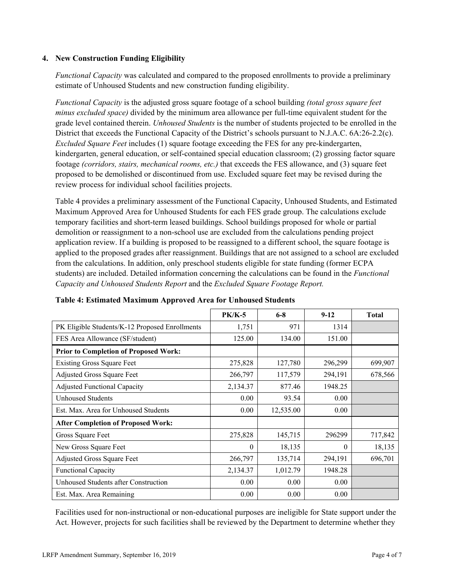### **4. New Construction Funding Eligibility**

*Functional Capacity* was calculated and compared to the proposed enrollments to provide a preliminary estimate of Unhoused Students and new construction funding eligibility.

*Functional Capacity* is the adjusted gross square footage of a school building *(total gross square feet minus excluded space)* divided by the minimum area allowance per full-time equivalent student for the grade level contained therein. *Unhoused Students* is the number of students projected to be enrolled in the District that exceeds the Functional Capacity of the District's schools pursuant to N.J.A.C. 6A:26-2.2(c). *Excluded Square Feet* includes (1) square footage exceeding the FES for any pre-kindergarten, kindergarten, general education, or self-contained special education classroom; (2) grossing factor square footage *(corridors, stairs, mechanical rooms, etc.)* that exceeds the FES allowance, and (3) square feet proposed to be demolished or discontinued from use. Excluded square feet may be revised during the review process for individual school facilities projects.

Table 4 provides a preliminary assessment of the Functional Capacity, Unhoused Students, and Estimated Maximum Approved Area for Unhoused Students for each FES grade group. The calculations exclude temporary facilities and short-term leased buildings. School buildings proposed for whole or partial demolition or reassignment to a non-school use are excluded from the calculations pending project application review. If a building is proposed to be reassigned to a different school, the square footage is applied to the proposed grades after reassignment. Buildings that are not assigned to a school are excluded from the calculations. In addition, only preschool students eligible for state funding (former ECPA students) are included. Detailed information concerning the calculations can be found in the *Functional Capacity and Unhoused Students Report* and the *Excluded Square Footage Report.*

|                                                | $PK/K-5$ | $6 - 8$   | $9-12$   | <b>Total</b> |
|------------------------------------------------|----------|-----------|----------|--------------|
| PK Eligible Students/K-12 Proposed Enrollments | 1,751    | 971       | 1314     |              |
| FES Area Allowance (SF/student)                | 125.00   | 134.00    | 151.00   |              |
| <b>Prior to Completion of Proposed Work:</b>   |          |           |          |              |
| <b>Existing Gross Square Feet</b>              | 275,828  | 127,780   | 296,299  | 699,907      |
| <b>Adjusted Gross Square Feet</b>              | 266,797  | 117,579   | 294,191  | 678,566      |
| <b>Adjusted Functional Capacity</b>            | 2,134.37 | 877.46    | 1948.25  |              |
| Unhoused Students                              | 0.00     | 93.54     | 0.00     |              |
| Est. Max. Area for Unhoused Students           | 0.00     | 12,535.00 | 0.00     |              |
| <b>After Completion of Proposed Work:</b>      |          |           |          |              |
| Gross Square Feet                              | 275,828  | 145,715   | 296299   | 717,842      |
| New Gross Square Feet                          | $\theta$ | 18,135    | $\theta$ | 18,135       |
| Adjusted Gross Square Feet                     | 266,797  | 135,714   | 294,191  | 696,701      |
| <b>Functional Capacity</b>                     | 2,134.37 | 1,012.79  | 1948.28  |              |
| Unhoused Students after Construction           | 0.00     | 0.00      | 0.00     |              |
| Est. Max. Area Remaining                       | 0.00     | 0.00      | 0.00     |              |

**Table 4: Estimated Maximum Approved Area for Unhoused Students**

Facilities used for non-instructional or non-educational purposes are ineligible for State support under the Act. However, projects for such facilities shall be reviewed by the Department to determine whether they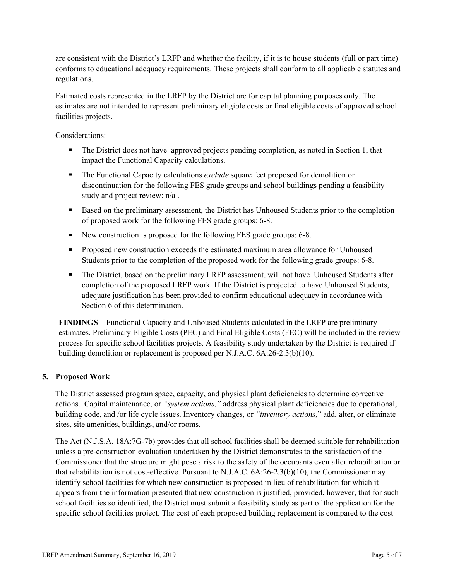are consistent with the District's LRFP and whether the facility, if it is to house students (full or part time) conforms to educational adequacy requirements. These projects shall conform to all applicable statutes and regulations.

Estimated costs represented in the LRFP by the District are for capital planning purposes only. The estimates are not intended to represent preliminary eligible costs or final eligible costs of approved school facilities projects.

Considerations:

- The District does not have approved projects pending completion, as noted in Section 1, that impact the Functional Capacity calculations.
- The Functional Capacity calculations *exclude* square feet proposed for demolition or discontinuation for the following FES grade groups and school buildings pending a feasibility study and project review: n/a .
- Based on the preliminary assessment, the District has Unhoused Students prior to the completion of proposed work for the following FES grade groups: 6-8.
- New construction is proposed for the following FES grade groups: 6-8.
- **Proposed new construction exceeds the estimated maximum area allowance for Unhoused** Students prior to the completion of the proposed work for the following grade groups: 6-8.
- The District, based on the preliminary LRFP assessment, will not have Unhoused Students after completion of the proposed LRFP work. If the District is projected to have Unhoused Students, adequate justification has been provided to confirm educational adequacy in accordance with Section 6 of this determination.

**FINDINGS** Functional Capacity and Unhoused Students calculated in the LRFP are preliminary estimates. Preliminary Eligible Costs (PEC) and Final Eligible Costs (FEC) will be included in the review process for specific school facilities projects. A feasibility study undertaken by the District is required if building demolition or replacement is proposed per N.J.A.C. 6A:26-2.3(b)(10).

### **5. Proposed Work**

The District assessed program space, capacity, and physical plant deficiencies to determine corrective actions. Capital maintenance, or *"system actions,"* address physical plant deficiencies due to operational, building code, and /or life cycle issues. Inventory changes, or *"inventory actions,*" add, alter, or eliminate sites, site amenities, buildings, and/or rooms.

The Act (N.J.S.A. 18A:7G-7b) provides that all school facilities shall be deemed suitable for rehabilitation unless a pre-construction evaluation undertaken by the District demonstrates to the satisfaction of the Commissioner that the structure might pose a risk to the safety of the occupants even after rehabilitation or that rehabilitation is not cost-effective. Pursuant to N.J.A.C. 6A:26-2.3(b)(10), the Commissioner may identify school facilities for which new construction is proposed in lieu of rehabilitation for which it appears from the information presented that new construction is justified, provided, however, that for such school facilities so identified, the District must submit a feasibility study as part of the application for the specific school facilities project. The cost of each proposed building replacement is compared to the cost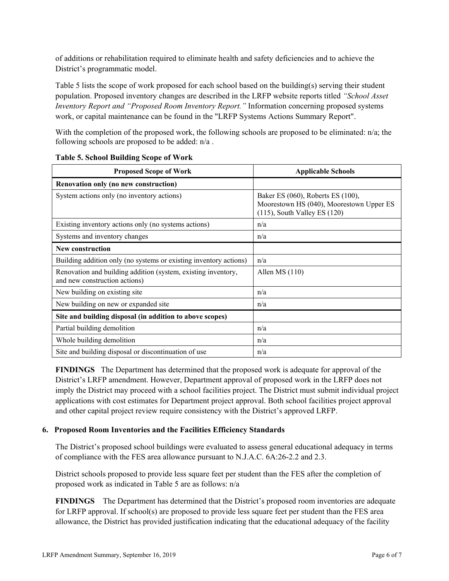of additions or rehabilitation required to eliminate health and safety deficiencies and to achieve the District's programmatic model.

Table 5 lists the scope of work proposed for each school based on the building(s) serving their student population. Proposed inventory changes are described in the LRFP website reports titled *"School Asset Inventory Report and "Proposed Room Inventory Report."* Information concerning proposed systems work, or capital maintenance can be found in the "LRFP Systems Actions Summary Report".

With the completion of the proposed work, the following schools are proposed to be eliminated: n/a; the following schools are proposed to be added: n/a .

| <b>Proposed Scope of Work</b>                                                                  | <b>Applicable Schools</b>                                                                                          |
|------------------------------------------------------------------------------------------------|--------------------------------------------------------------------------------------------------------------------|
| Renovation only (no new construction)                                                          |                                                                                                                    |
| System actions only (no inventory actions)                                                     | Baker ES (060), Roberts ES (100),<br>Moorestown HS (040), Moorestown Upper ES<br>$(115)$ , South Valley ES $(120)$ |
| Existing inventory actions only (no systems actions)                                           | n/a                                                                                                                |
| Systems and inventory changes                                                                  | n/a                                                                                                                |
| New construction                                                                               |                                                                                                                    |
| Building addition only (no systems or existing inventory actions)                              | n/a                                                                                                                |
| Renovation and building addition (system, existing inventory,<br>and new construction actions) | Allen MS $(110)$                                                                                                   |
| New building on existing site                                                                  | n/a                                                                                                                |
| New building on new or expanded site                                                           | n/a                                                                                                                |
| Site and building disposal (in addition to above scopes)                                       |                                                                                                                    |
| Partial building demolition                                                                    | n/a                                                                                                                |
| Whole building demolition                                                                      | n/a                                                                                                                |
| Site and building disposal or discontinuation of use                                           | n/a                                                                                                                |

### **Table 5. School Building Scope of Work**

**FINDINGS** The Department has determined that the proposed work is adequate for approval of the District's LRFP amendment. However, Department approval of proposed work in the LRFP does not imply the District may proceed with a school facilities project. The District must submit individual project applications with cost estimates for Department project approval. Both school facilities project approval and other capital project review require consistency with the District's approved LRFP.

## **6. Proposed Room Inventories and the Facilities Efficiency Standards**

The District's proposed school buildings were evaluated to assess general educational adequacy in terms of compliance with the FES area allowance pursuant to N.J.A.C. 6A:26-2.2 and 2.3.

District schools proposed to provide less square feet per student than the FES after the completion of proposed work as indicated in Table 5 are as follows: n/a

**FINDINGS** The Department has determined that the District's proposed room inventories are adequate for LRFP approval. If school(s) are proposed to provide less square feet per student than the FES area allowance, the District has provided justification indicating that the educational adequacy of the facility